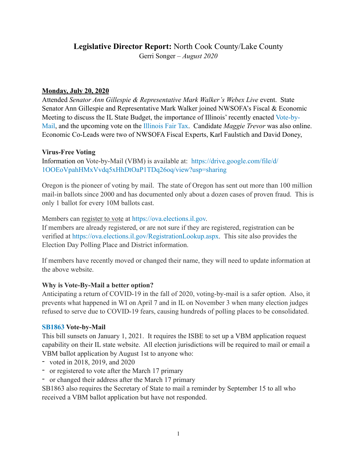# **Legislative Director Report:** North Cook County/Lake County Gerri Songer – *August 2020*

#### **Monday, July 20, 2020**

Attended *Senator Ann Gillespie & Representative Mark Walker's Webex Live* event. State Senator Ann Gillespie and Representative Mark Walker joined NWSOFA's Fiscal & Economic Meeting to discuss the IL State Budget, the importance of Illinois' recently enacted Vote-by-Mail, and the upcoming vote on the Illinois Fair Tax. Candidate *Maggie Trevor* was also online. Economic Co-Leads were two of NWSOFA Fiscal Experts, Karl Faulstich and David Doney,

#### **Virus-Free Voting**

Information on Vote-by-Mail (VBM) is available at: [https://drive.google.com/file/d/](https://drive.google.com/file/d/1OOEoVpahHMxVvdq5xHhDtOaP1TDq26oq/view?usp=sharing) [1OOEoVpahHMxVvdq5xHhDtOaP1TDq26oq/view?usp=sharing](https://drive.google.com/file/d/1OOEoVpahHMxVvdq5xHhDtOaP1TDq26oq/view?usp=sharing)

Oregon is the pioneer of voting by mail. The state of Oregon has sent out more than 100 million mail-in ballots since 2000 and has documented only about a dozen cases of proven fraud. This is only 1 ballot for every 10M ballots cast.

Members can register to vote at [https://ova.elections.il.gov.](https://ova.elections.il.gov)

If members are already registered, or are not sure if they are registered, registration can be verified at <https://ova.elections.il.gov/RegistrationLookup.aspx>. This site also provides the Election Day Polling Place and District information.

If members have recently moved or changed their name, they will need to update information at the above website.

### **Why is Vote-By-Mail a better option?**

Anticipating a return of COVID-19 in the fall of 2020, voting-by-mail is a safer option. Also, it prevents what happened in WI on April 7 and in IL on November 3 when many election judges refused to serve due to COVID-19 fears, causing hundreds of polling places to be consolidated.

### **SB1863 Vote-by-Mail**

This bill sunsets on January 1, 2021. It requires the ISBE to set up a VBM application request capability on their IL state website. All election jurisdictions will be required to mail or email a VBM ballot application by August 1st to anyone who:

- voted in 2018, 2019, and 2020
- or registered to vote after the March 17 primary
- or changed their address after the March 17 primary

SB1863 also requires the Secretary of State to mail a reminder by September 15 to all who received a VBM ballot application but have not responded.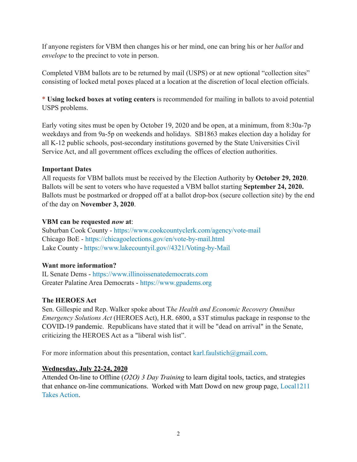If anyone registers for VBM then changes his or her mind, one can bring his or her *ballot* and *envelope* to the precinct to vote in person.

Completed VBM ballots are to be returned by mail (USPS) or at new optional "collection sites" consisting of locked metal poxes placed at a location at the discretion of local election officials.

\* **Using locked boxes at voting centers** is recommended for mailing in ballots to avoid potential USPS problems.

Early voting sites must be open by October 19, 2020 and be open, at a minimum, from 8:30a-7p weekdays and from 9a-5p on weekends and holidays. SB1863 makes election day a holiday for all K-12 public schools, post-secondary institutions governed by the State Universities Civil Service Act, and all government offices excluding the offices of election authorities.

### **Important Dates**

All requests for VBM ballots must be received by the Election Authority by **October 29, 2020**. Ballots will be sent to voters who have requested a VBM ballot starting **September 24, 2020.** Ballots must be postmarked or dropped off at a ballot drop-box (secure collection site) by the end of the day on **November 3, 2020**.

### **VBM can be requested** *now* **at**:

Suburban Cook County -<https://www.cookcountyclerk.com/agency/vote-mail> Chicago BoE -<https://chicagoelections.gov/en/vote-by-mail.html> Lake County -<https://www.lakecountyil.gov//4321/Voting-by-Mail>

## **Want more information?**

IL Senate Dems - <https://www.illinoissenatedemocrats.com> Greater Palatine Area Democrats -<https://www.gpadems.org>

## **The HEROES Act**

Sen. Gillespie and Rep. Walker spoke about T*he Health and Economic Recovery Omnibus Emergency Solutions Act* (HEROES Act), H.R. 6800, a \$3T stimulus package in response to the COVID-19 pandemic. Republicans have stated that it will be "dead on arrival" in the Senate, criticizing the HEROES Act as a "liberal wish list".

For more information about this presentation, contact [karl.faulstich@gmail.com](mailto:karl.faulstich@gmail.com).

## **Wednesday, July 22-24, 2020**

Attended On-line to Offline (*O2O) 3 Day Training* to learn digital tools, tactics, and strategies that enhance on-line communications. Worked with Matt Dowd on new group page, Local1211 Takes Action.